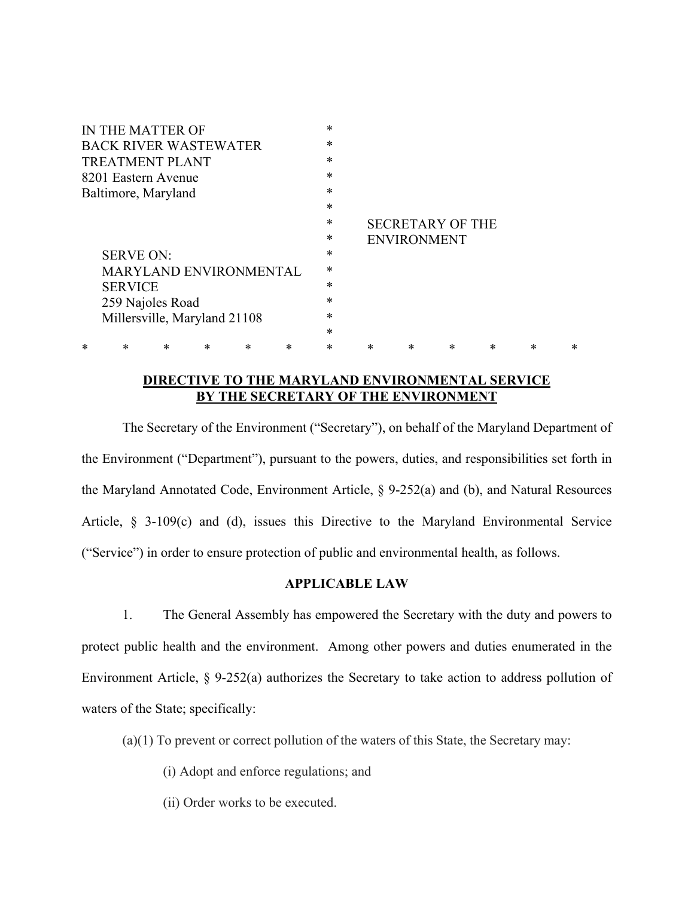| IN THE MATTER OF                        | $\ast$ |                                               |   |        |           |           |        |
|-----------------------------------------|--------|-----------------------------------------------|---|--------|-----------|-----------|--------|
| <b>BACK RIVER WASTEWATER</b>            | $\ast$ |                                               |   |        |           |           |        |
| <b>TREATMENT PLANT</b>                  | $\ast$ |                                               |   |        |           |           |        |
| 8201 Eastern Avenue                     | $\ast$ |                                               |   |        |           |           |        |
| Baltimore, Maryland                     | $\ast$ |                                               |   |        |           |           |        |
|                                         | $\ast$ |                                               |   |        |           |           |        |
|                                         | $\ast$ | <b>SECRETARY OF THE</b><br><b>ENVIRONMENT</b> |   |        |           |           |        |
|                                         | $\ast$ |                                               |   |        |           |           |        |
| <b>SERVE ON:</b>                        | $\ast$ |                                               |   |        |           |           |        |
| <b>MARYLAND ENVIRONMENTAL</b>           | $\ast$ |                                               |   |        |           |           |        |
| <b>SERVICE</b>                          | $\ast$ |                                               |   |        |           |           |        |
| 259 Najoles Road                        | $\ast$ |                                               |   |        |           |           |        |
| Millersville, Maryland 21108            | $\ast$ |                                               |   |        |           |           |        |
|                                         | $\ast$ |                                               |   |        |           |           |        |
| *<br>*<br>$\ast$<br>*<br>*<br>$^{\ast}$ | $\ast$ | *                                             | * | $\ast$ | $^{\ast}$ | $^{\ast}$ | $\ast$ |

## **DIRECTIVE TO THE MARYLAND ENVIRONMENTAL SERVICE BY THE SECRETARY OF THE ENVIRONMENT**

The Secretary of the Environment ("Secretary"), on behalf of the Maryland Department of the Environment ("Department"), pursuant to the powers, duties, and responsibilities set forth in the Maryland Annotated Code, Environment Article, § 9-252(a) and (b), and Natural Resources Article, § 3-109(c) and (d), issues this Directive to the Maryland Environmental Service ("Service") in order to ensure protection of public and environmental health, as follows.

## **APPLICABLE LAW**

1. The General Assembly has empowered the Secretary with the duty and powers to protect public health and the environment. Among other powers and duties enumerated in the Environment Article, § 9-252(a) authorizes the Secretary to take action to address pollution of waters of the State; specifically:

(a)(1) To prevent or correct pollution of the waters of this State, the Secretary may:

(i) Adopt and enforce regulations; and

(ii) Order works to be executed.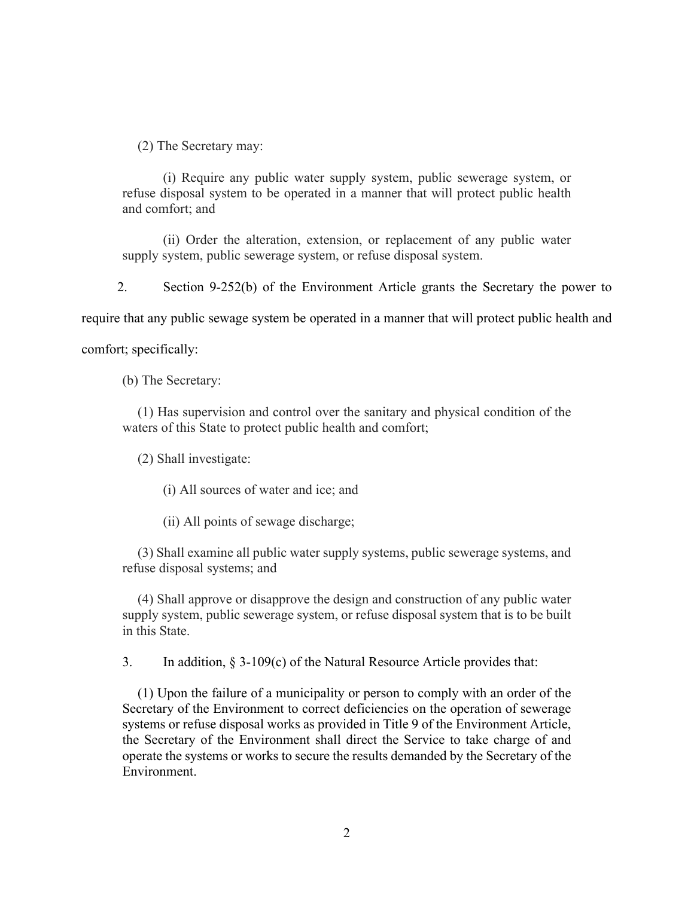(2) The Secretary may:

(i) Require any public water supply system, public sewerage system, or refuse disposal system to be operated in a manner that will protect public health and comfort; and

(ii) Order the alteration, extension, or replacement of any public water supply system, public sewerage system, or refuse disposal system.

2. Section 9-252(b) of the Environment Article grants the Secretary the power to

require that any public sewage system be operated in a manner that will protect public health and

comfort; specifically:

(b) The Secretary:

(1) Has supervision and control over the sanitary and physical condition of the waters of this State to protect public health and comfort;

(2) Shall investigate:

(i) All sources of water and ice; and

(ii) All points of sewage discharge;

(3) Shall examine all public water supply systems, public sewerage systems, and refuse disposal systems; and

(4) Shall approve or disapprove the design and construction of any public water supply system, public sewerage system, or refuse disposal system that is to be built in this State.

3. In addition, § 3-109(c) of the Natural Resource Article provides that:

(1) Upon the failure of a municipality or person to comply with an order of the Secretary of the Environment to correct deficiencies on the operation of sewerage systems or refuse disposal works as provided in Title 9 of the Environment Article, the Secretary of the Environment shall direct the Service to take charge of and operate the systems or works to secure the results demanded by the Secretary of the Environment.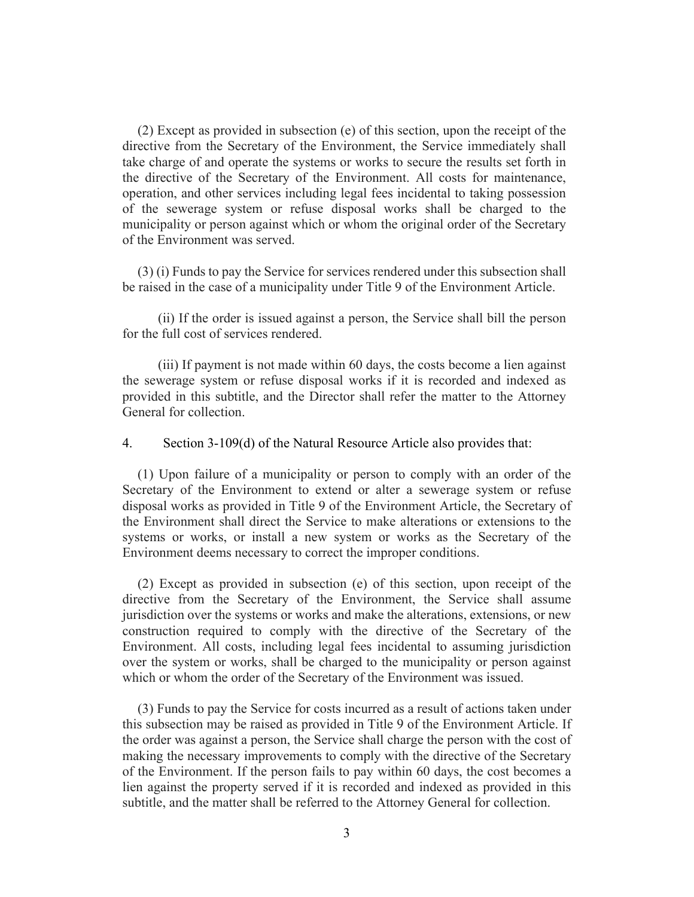(2) Except as provided in subsection (e) of this section, upon the receipt of the directive from the Secretary of the Environment, the Service immediately shall take charge of and operate the systems or works to secure the results set forth in the directive of the Secretary of the Environment. All costs for maintenance, operation, and other services including legal fees incidental to taking possession of the sewerage system or refuse disposal works shall be charged to the municipality or person against which or whom the original order of the Secretary of the Environment was served.

(3) (i) Funds to pay the Service for services rendered under this subsection shall be raised in the case of a municipality under Title 9 of the Environment Article.

(ii) If the order is issued against a person, the Service shall bill the person for the full cost of services rendered.

(iii) If payment is not made within 60 days, the costs become a lien against the sewerage system or refuse disposal works if it is recorded and indexed as provided in this subtitle, and the Director shall refer the matter to the Attorney General for collection.

4. Section 3-109(d) of the Natural Resource Article also provides that:

(1) Upon failure of a municipality or person to comply with an order of the Secretary of the Environment to extend or alter a sewerage system or refuse disposal works as provided in Title 9 of the Environment Article, the Secretary of the Environment shall direct the Service to make alterations or extensions to the systems or works, or install a new system or works as the Secretary of the Environment deems necessary to correct the improper conditions.

(2) Except as provided in subsection (e) of this section, upon receipt of the directive from the Secretary of the Environment, the Service shall assume jurisdiction over the systems or works and make the alterations, extensions, or new construction required to comply with the directive of the Secretary of the Environment. All costs, including legal fees incidental to assuming jurisdiction over the system or works, shall be charged to the municipality or person against which or whom the order of the Secretary of the Environment was issued.

(3) Funds to pay the Service for costs incurred as a result of actions taken under this subsection may be raised as provided in Title 9 of the Environment Article. If the order was against a person, the Service shall charge the person with the cost of making the necessary improvements to comply with the directive of the Secretary of the Environment. If the person fails to pay within 60 days, the cost becomes a lien against the property served if it is recorded and indexed as provided in this subtitle, and the matter shall be referred to the Attorney General for collection.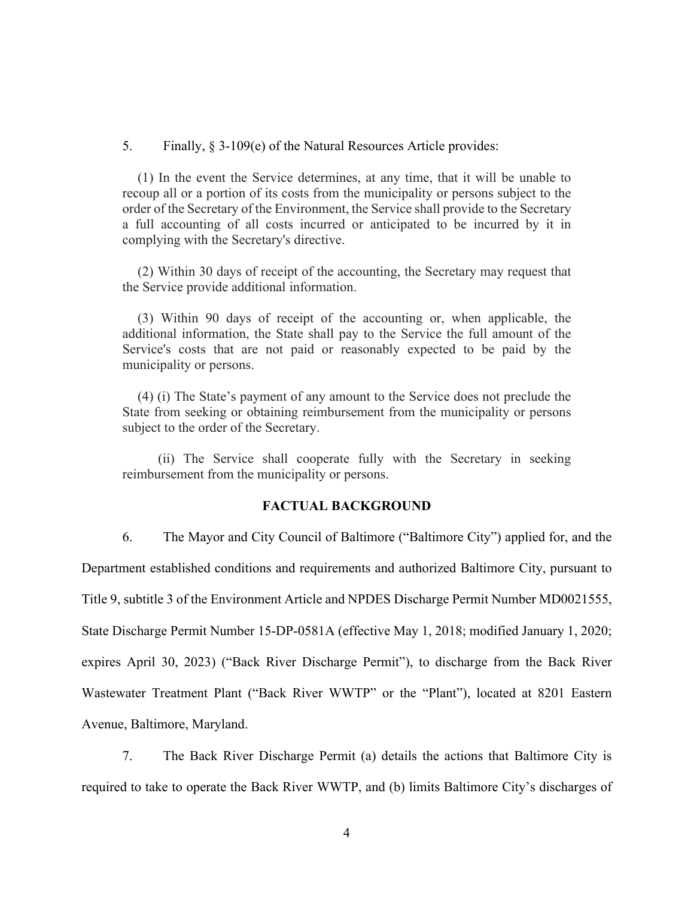5. Finally, § 3-109(e) of the Natural Resources Article provides:

(1) In the event the Service determines, at any time, that it will be unable to recoup all or a portion of its costs from the municipality or persons subject to the order of the Secretary of the Environment, the Service shall provide to the Secretary a full accounting of all costs incurred or anticipated to be incurred by it in complying with the Secretary's directive.

(2) Within 30 days of receipt of the accounting, the Secretary may request that the Service provide additional information.

(3) Within 90 days of receipt of the accounting or, when applicable, the additional information, the State shall pay to the Service the full amount of the Service's costs that are not paid or reasonably expected to be paid by the municipality or persons.

(4) (i) The State's payment of any amount to the Service does not preclude the State from seeking or obtaining reimbursement from the municipality or persons subject to the order of the Secretary.

(ii) The Service shall cooperate fully with the Secretary in seeking reimbursement from the municipality or persons.

## **FACTUAL BACKGROUND**

6. The Mayor and City Council of Baltimore ("Baltimore City") applied for, and the Department established conditions and requirements and authorized Baltimore City, pursuant to Title 9, subtitle 3 of the Environment Article and NPDES Discharge Permit Number MD0021555, State Discharge Permit Number 15-DP-0581A (effective May 1, 2018; modified January 1, 2020; expires April 30, 2023) ("Back River Discharge Permit"), to discharge from the Back River Wastewater Treatment Plant ("Back River WWTP" or the "Plant"), located at 8201 Eastern Avenue, Baltimore, Maryland.

7. The Back River Discharge Permit (a) details the actions that Baltimore City is required to take to operate the Back River WWTP, and (b) limits Baltimore City's discharges of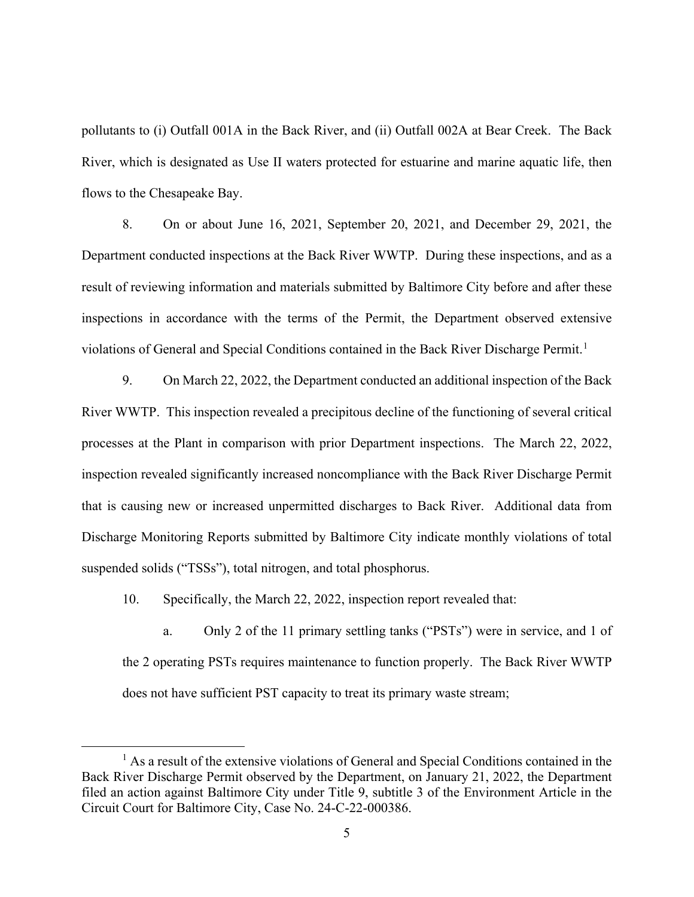pollutants to (i) Outfall 001A in the Back River, and (ii) Outfall 002A at Bear Creek. The Back River, which is designated as Use II waters protected for estuarine and marine aquatic life, then flows to the Chesapeake Bay.

8. On or about June 16, 2021, September 20, 2021, and December 29, 2021, the Department conducted inspections at the Back River WWTP. During these inspections, and as a result of reviewing information and materials submitted by Baltimore City before and after these inspections in accordance with the terms of the Permit, the Department observed extensive violations of General and Special Conditions contained in the Back River Discharge Permit.<sup>[1](#page-4-0)</sup>

9. On March 22, 2022, the Department conducted an additional inspection of the Back River WWTP. This inspection revealed a precipitous decline of the functioning of several critical processes at the Plant in comparison with prior Department inspections. The March 22, 2022, inspection revealed significantly increased noncompliance with the Back River Discharge Permit that is causing new or increased unpermitted discharges to Back River. Additional data from Discharge Monitoring Reports submitted by Baltimore City indicate monthly violations of total suspended solids ("TSSs"), total nitrogen, and total phosphorus.

10. Specifically, the March 22, 2022, inspection report revealed that:

a. Only 2 of the 11 primary settling tanks ("PSTs") were in service, and 1 of the 2 operating PSTs requires maintenance to function properly. The Back River WWTP does not have sufficient PST capacity to treat its primary waste stream;

<span id="page-4-0"></span> $<sup>1</sup>$  As a result of the extensive violations of General and Special Conditions contained in the</sup> Back River Discharge Permit observed by the Department, on January 21, 2022, the Department filed an action against Baltimore City under Title 9, subtitle 3 of the Environment Article in the Circuit Court for Baltimore City, Case No. 24-C-22-000386.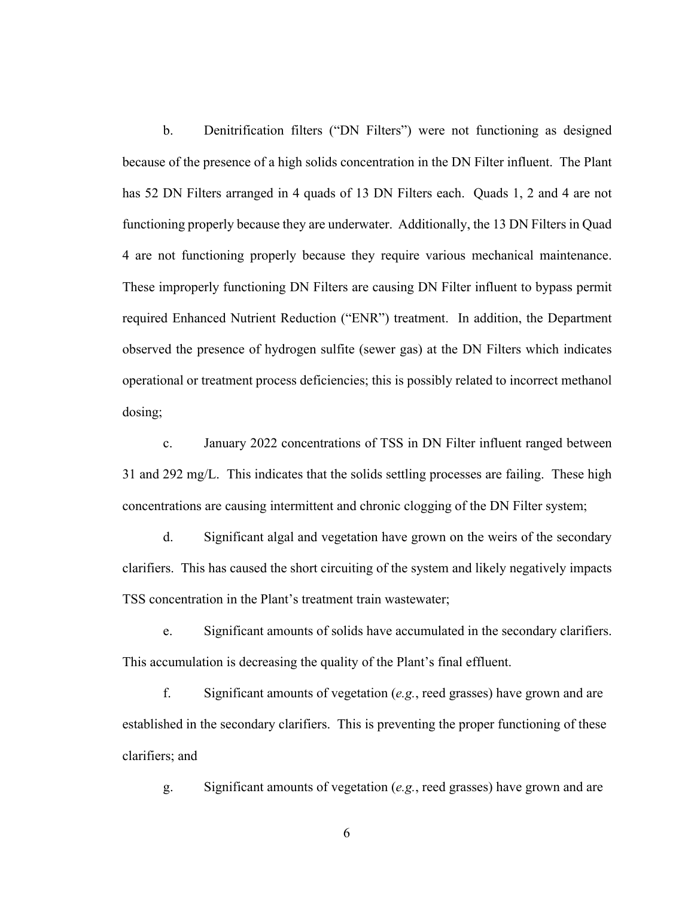b. Denitrification filters ("DN Filters") were not functioning as designed because of the presence of a high solids concentration in the DN Filter influent. The Plant has 52 DN Filters arranged in 4 quads of 13 DN Filters each. Quads 1, 2 and 4 are not functioning properly because they are underwater. Additionally, the 13 DN Filters in Quad 4 are not functioning properly because they require various mechanical maintenance. These improperly functioning DN Filters are causing DN Filter influent to bypass permit required Enhanced Nutrient Reduction ("ENR") treatment. In addition, the Department observed the presence of hydrogen sulfite (sewer gas) at the DN Filters which indicates operational or treatment process deficiencies; this is possibly related to incorrect methanol dosing;

c. January 2022 concentrations of TSS in DN Filter influent ranged between 31 and 292 mg/L. This indicates that the solids settling processes are failing. These high concentrations are causing intermittent and chronic clogging of the DN Filter system;

d. Significant algal and vegetation have grown on the weirs of the secondary clarifiers. This has caused the short circuiting of the system and likely negatively impacts TSS concentration in the Plant's treatment train wastewater;

e. Significant amounts of solids have accumulated in the secondary clarifiers. This accumulation is decreasing the quality of the Plant's final effluent.

f. Significant amounts of vegetation (*e.g.*, reed grasses) have grown and are established in the secondary clarifiers. This is preventing the proper functioning of these clarifiers; and

g. Significant amounts of vegetation (*e.g.*, reed grasses) have grown and are

6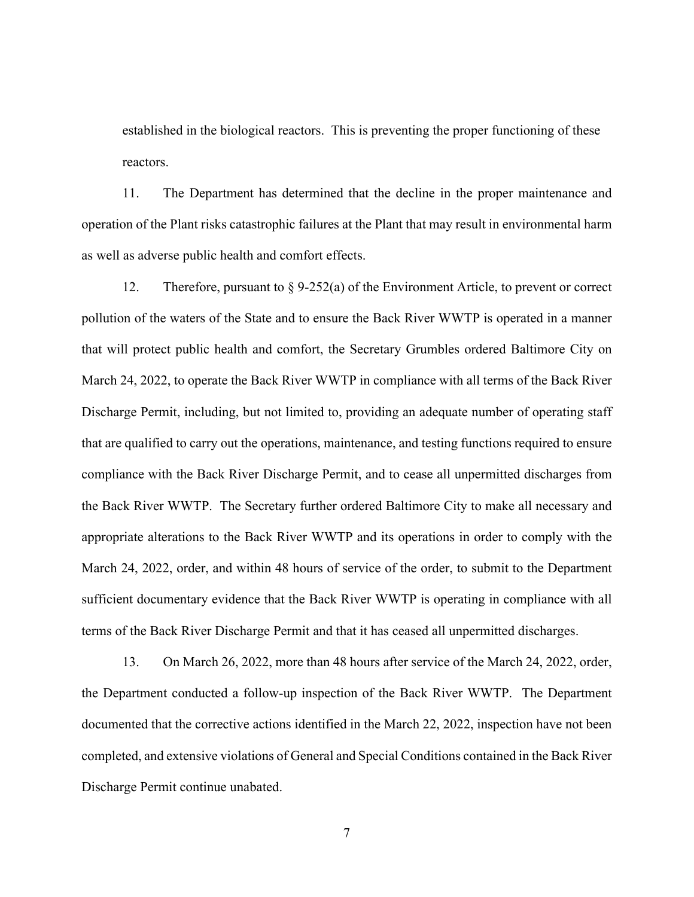established in the biological reactors. This is preventing the proper functioning of these reactors.

11. The Department has determined that the decline in the proper maintenance and operation of the Plant risks catastrophic failures at the Plant that may result in environmental harm as well as adverse public health and comfort effects.

12. Therefore, pursuant to § 9-252(a) of the Environment Article, to prevent or correct pollution of the waters of the State and to ensure the Back River WWTP is operated in a manner that will protect public health and comfort, the Secretary Grumbles ordered Baltimore City on March 24, 2022, to operate the Back River WWTP in compliance with all terms of the Back River Discharge Permit, including, but not limited to, providing an adequate number of operating staff that are qualified to carry out the operations, maintenance, and testing functions required to ensure compliance with the Back River Discharge Permit, and to cease all unpermitted discharges from the Back River WWTP. The Secretary further ordered Baltimore City to make all necessary and appropriate alterations to the Back River WWTP and its operations in order to comply with the March 24, 2022, order, and within 48 hours of service of the order, to submit to the Department sufficient documentary evidence that the Back River WWTP is operating in compliance with all terms of the Back River Discharge Permit and that it has ceased all unpermitted discharges.

13. On March 26, 2022, more than 48 hours after service of the March 24, 2022, order, the Department conducted a follow-up inspection of the Back River WWTP. The Department documented that the corrective actions identified in the March 22, 2022, inspection have not been completed, and extensive violations of General and Special Conditions contained in the Back River Discharge Permit continue unabated.

7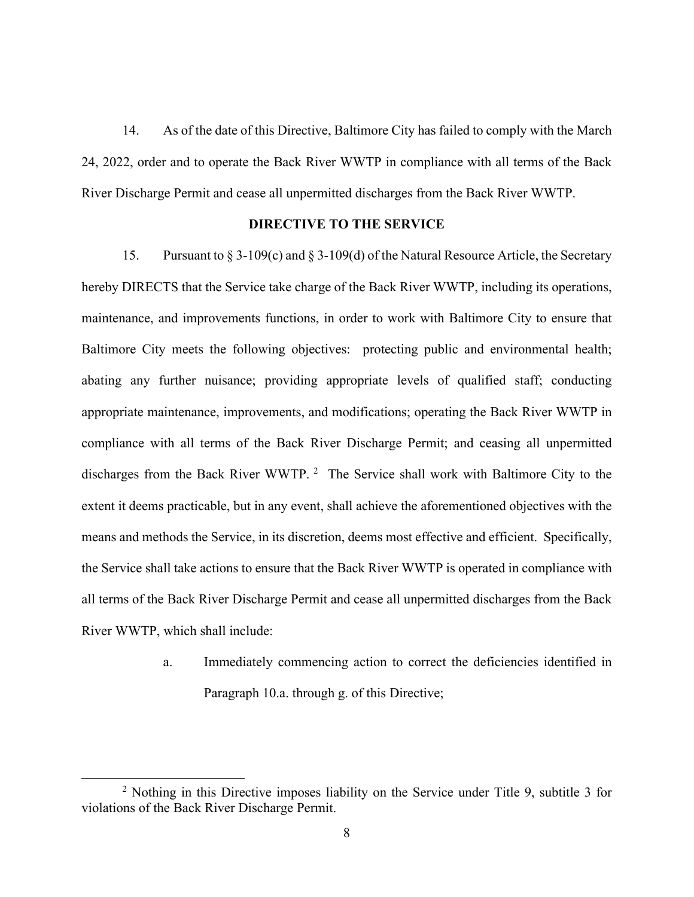14. As of the date of this Directive, Baltimore City has failed to comply with the March 24, 2022, order and to operate the Back River WWTP in compliance with all terms of the Back River Discharge Permit and cease all unpermitted discharges from the Back River WWTP.

## **DIRECTIVE TO THE SERVICE**

15. Pursuant to § 3-109(c) and § 3-109(d) of the Natural Resource Article, the Secretary hereby DIRECTS that the Service take charge of the Back River WWTP, including its operations, maintenance, and improvements functions, in order to work with Baltimore City to ensure that Baltimore City meets the following objectives: protecting public and environmental health; abating any further nuisance; providing appropriate levels of qualified staff; conducting appropriate maintenance, improvements, and modifications; operating the Back River WWTP in compliance with all terms of the Back River Discharge Permit; and ceasing all unpermitted discharges from the Back River WWTP.<sup>[2](#page-7-0)</sup> The Service shall work with Baltimore City to the extent it deems practicable, but in any event, shall achieve the aforementioned objectives with the means and methods the Service, in its discretion, deems most effective and efficient. Specifically, the Service shall take actions to ensure that the Back River WWTP is operated in compliance with all terms of the Back River Discharge Permit and cease all unpermitted discharges from the Back River WWTP, which shall include:

> a. Immediately commencing action to correct the deficiencies identified in Paragraph 10.a. through g. of this Directive;

<span id="page-7-0"></span><sup>&</sup>lt;sup>2</sup> Nothing in this Directive imposes liability on the Service under Title 9, subtitle 3 for violations of the Back River Discharge Permit.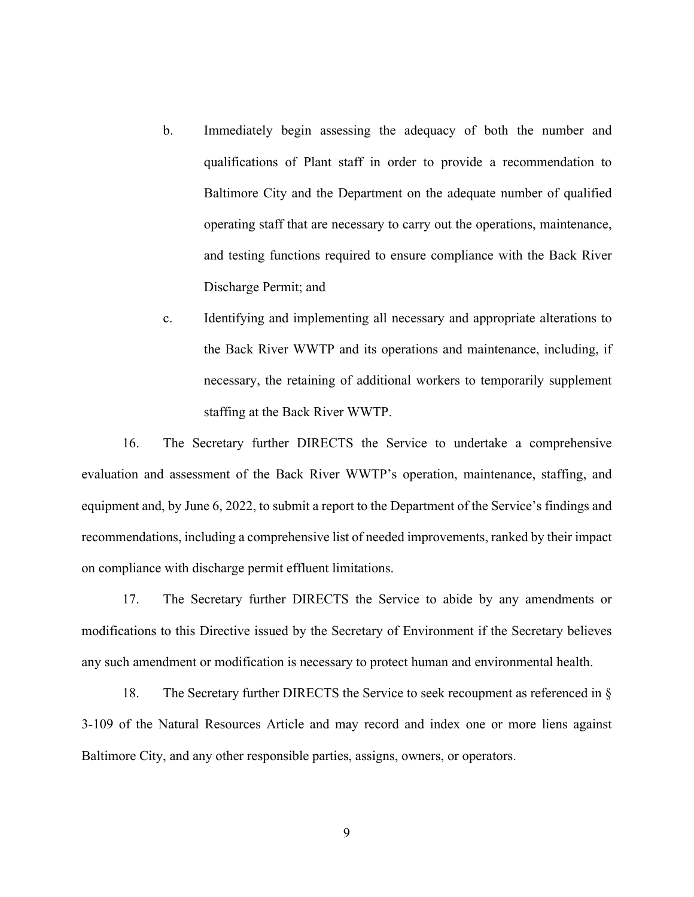- b. Immediately begin assessing the adequacy of both the number and qualifications of Plant staff in order to provide a recommendation to Baltimore City and the Department on the adequate number of qualified operating staff that are necessary to carry out the operations, maintenance, and testing functions required to ensure compliance with the Back River Discharge Permit; and
- c. Identifying and implementing all necessary and appropriate alterations to the Back River WWTP and its operations and maintenance, including, if necessary, the retaining of additional workers to temporarily supplement staffing at the Back River WWTP.

16. The Secretary further DIRECTS the Service to undertake a comprehensive evaluation and assessment of the Back River WWTP's operation, maintenance, staffing, and equipment and, by June 6, 2022, to submit a report to the Department of the Service's findings and recommendations, including a comprehensive list of needed improvements, ranked by their impact on compliance with discharge permit effluent limitations.

17. The Secretary further DIRECTS the Service to abide by any amendments or modifications to this Directive issued by the Secretary of Environment if the Secretary believes any such amendment or modification is necessary to protect human and environmental health.

18. The Secretary further DIRECTS the Service to seek recoupment as referenced in § 3-109 of the Natural Resources Article and may record and index one or more liens against Baltimore City, and any other responsible parties, assigns, owners, or operators.

9